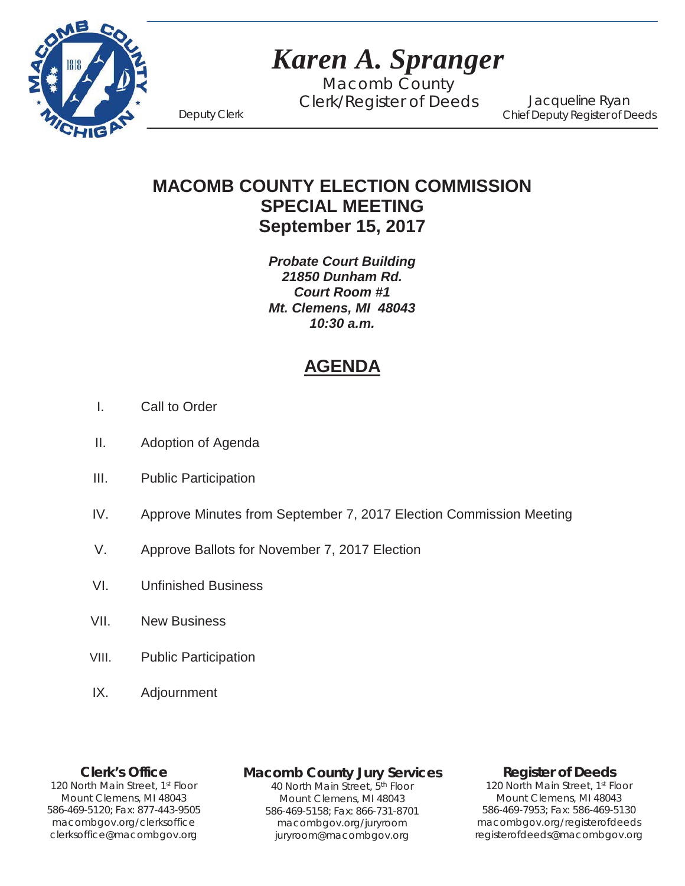

# *Karen A. Spranger*

Macomb County Clerk/Register of Deeds Deputy Clerk

Jacqueline Ryan Chief Deputy Register of Deeds

**MACOMB COUNTY ELECTION COMMISSION SPECIAL MEETING September 15, 2017**

> *Probate Court Building 21850 Dunham Rd. Court Room #1 Mt. Clemens, MI 48043 10:30 a.m.*

## **AGENDA**

- I. Call to Order
- II. Adoption of Agenda
- III. Public Participation
- IV. Approve Minutes from September 7, 2017 Election Commission Meeting
- V. Approve Ballots for November 7, 2017 Election
- VI. Unfinished Business
- VII. New Business
- VIII. Public Participation
- IX. Adjournment

1`40 clerksoffice@macombgov.org **Clerk's Office** 120 North Main Street, 1<sup>st</sup> Floor Mount Clemens, MI 48043 586-469-5120; Fax: 877-443-9505 macombgov.org/clerksoffice

## **Macomb County Jury Services**

40 North Main Street, 5th Floor Mount Clemens, MI 48043 586-469-5158; Fax: 866-731-8701 macombgov.org/juryroom juryroom@macombgov.org

## **Register of Deeds**

120 North Main Street, 1st Floor Mount Clemens, MI 48043 586-469-7953; Fax: 586-469-5130 macombgov.org/registerofdeeds registerofdeeds@macombgov.org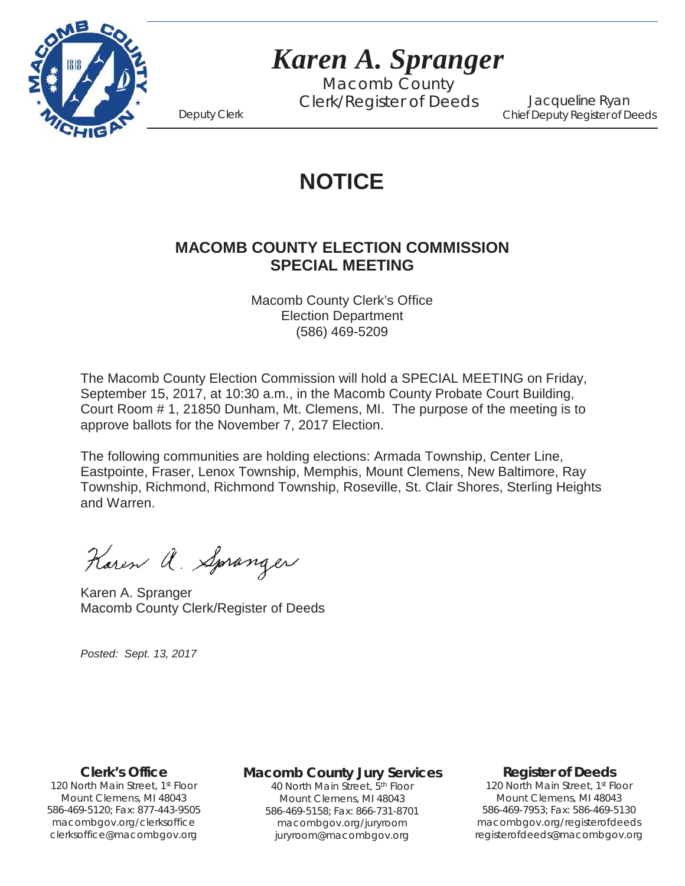

# *Karen A. Spranger*

Macomb County Clerk/Register of Deeds Deputy Clerk

Jacqueline Ryan Chief Deputy Register of Deeds

## **NOTICE**

## **MACOMB COUNTY ELECTION COMMISSION SPECIAL MEETING**

Macomb County Clerk's Office Election Department (586) 469-5209

The Macomb County Election Commission will hold a SPECIAL MEETING on Friday, September 15, 2017, at 10:30 a.m., in the Macomb County Probate Court Building, Court Room # 1, 21850 Dunham, Mt. Clemens, MI. The purpose of the meeting is to approve ballots for the November 7, 2017 Election.

The following communities are holding elections: Armada Township, Center Line, Eastpointe, Fraser, Lenox Township, Memphis, Mount Clemens, New Baltimore, Ray Township, Richmond, Richmond Township, Roseville, St. Clair Shores, Sterling Heights and Warren.

Karen a. Spranger

Karen A. Spranger Macomb County Clerk/Register of Deeds

*Posted: Sept. 13, 2017*

**Clerk's Office**

1`40 clerksoffice@macombgov.org 120 North Main Street, 1st Floor Mount Clemens, MI 48043 586-469-5120; Fax: 877-443-9505 macombgov.org/clerksoffice

### **Macomb County Jury Services**

40 North Main Street, 5th Floor Mount Clemens, MI 48043 586-469-5158; Fax: 866-731-8701 macombgov.org/juryroom juryroom@macombgov.org

### **Register of Deeds**

120 North Main Street, 1<sup>st</sup> Floor Mount Clemens, MI 48043 586-469-7953; Fax: 586-469-5130 macombgov.org/registerofdeeds registerofdeeds@macombgov.org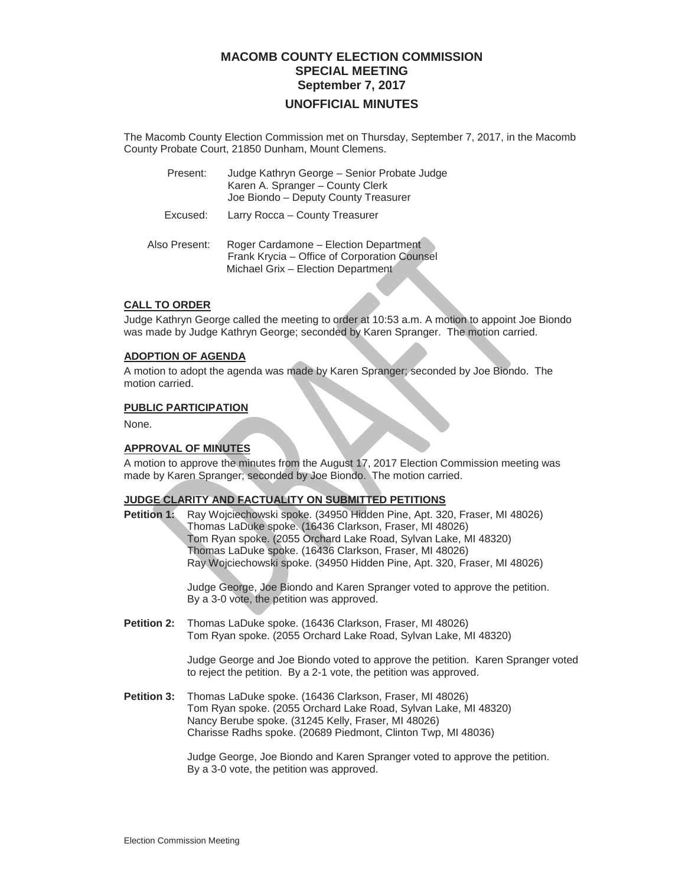## **MACOMB COUNTY ELECTION COMMISSION SPECIAL MEETING September 7, 2017**

#### **UNOFFICIAL MINUTES**

The Macomb County Election Commission met on Thursday, September 7, 2017, in the Macomb County Probate Court, 21850 Dunham, Mount Clemens.

| Present: | Judge Kathryn George - Senior Probate Judge<br>Karen A. Spranger - County Clerk<br>Joe Biondo – Deputy County Treasurer |
|----------|-------------------------------------------------------------------------------------------------------------------------|
| Excused: | Larry Rocca - County Treasurer                                                                                          |

 Also Present: Roger Cardamone – Election Department Frank Krycia – Office of Corporation Counsel Michael Grix – Election Department

#### **CALL TO ORDER**

Judge Kathryn George called the meeting to order at 10:53 a.m. A motion to appoint Joe Biondo was made by Judge Kathryn George; seconded by Karen Spranger. The motion carried.

#### **ADOPTION OF AGENDA**

A motion to adopt the agenda was made by Karen Spranger; seconded by Joe Biondo. The motion carried.

#### **PUBLIC PARTICIPATION**

None.

#### **APPROVAL OF MINUTES**

A motion to approve the minutes from the August 17, 2017 Election Commission meeting was made by Karen Spranger; seconded by Joe Biondo. The motion carried.

#### **JUDGE CLARITY AND FACTUALITY ON SUBMITTED PETITIONS**

**Petition 1:** Ray Wojciechowski spoke. (34950 Hidden Pine, Apt. 320, Fraser, MI 48026) Thomas LaDuke spoke. (16436 Clarkson, Fraser, MI 48026) Tom Ryan spoke. (2055 Orchard Lake Road, Sylvan Lake, MI 48320) Thomas LaDuke spoke. (16436 Clarkson, Fraser, MI 48026) Ray Wojciechowski spoke. (34950 Hidden Pine, Apt. 320, Fraser, MI 48026)

> Judge George, Joe Biondo and Karen Spranger voted to approve the petition. By a 3-0 vote, the petition was approved.

**Petition 2:** Thomas LaDuke spoke. (16436 Clarkson, Fraser, MI 48026) Tom Ryan spoke. (2055 Orchard Lake Road, Sylvan Lake, MI 48320)

> Judge George and Joe Biondo voted to approve the petition. Karen Spranger voted to reject the petition. By a 2-1 vote, the petition was approved.

**Petition 3:** Thomas LaDuke spoke. (16436 Clarkson, Fraser, MI 48026) Tom Ryan spoke. (2055 Orchard Lake Road, Sylvan Lake, MI 48320) Nancy Berube spoke. (31245 Kelly, Fraser, MI 48026) Charisse Radhs spoke. (20689 Piedmont, Clinton Twp, MI 48036)

> Judge George, Joe Biondo and Karen Spranger voted to approve the petition. By a 3-0 vote, the petition was approved.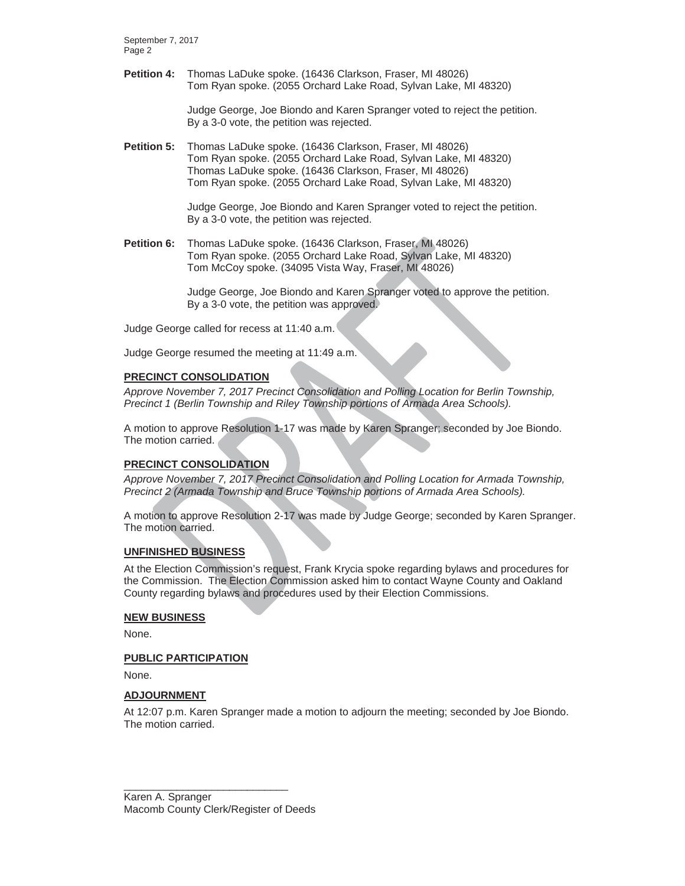September 7, 2017 Page 2

**Petition 4:** Thomas LaDuke spoke. (16436 Clarkson, Fraser, MI 48026) Tom Ryan spoke. (2055 Orchard Lake Road, Sylvan Lake, MI 48320)

> Judge George, Joe Biondo and Karen Spranger voted to reject the petition. By a 3-0 vote, the petition was rejected.

**Petition 5:** Thomas LaDuke spoke. (16436 Clarkson, Fraser, MI 48026) Tom Ryan spoke. (2055 Orchard Lake Road, Sylvan Lake, MI 48320) Thomas LaDuke spoke. (16436 Clarkson, Fraser, MI 48026) Tom Ryan spoke. (2055 Orchard Lake Road, Sylvan Lake, MI 48320)

> Judge George, Joe Biondo and Karen Spranger voted to reject the petition. By a 3-0 vote, the petition was rejected.

**Petition 6:** Thomas LaDuke spoke. (16436 Clarkson, Fraser, MI 48026) Tom Ryan spoke. (2055 Orchard Lake Road, Sylvan Lake, MI 48320) Tom McCoy spoke. (34095 Vista Way, Fraser, MI 48026)

> Judge George, Joe Biondo and Karen Spranger voted to approve the petition. By a 3-0 vote, the petition was approved.

Judge George called for recess at 11:40 a.m.

Judge George resumed the meeting at 11:49 a.m.

#### **PRECINCT CONSOLIDATION**

*Approve November 7, 2017 Precinct Consolidation and Polling Location for Berlin Township, Precinct 1 (Berlin Township and Riley Township portions of Armada Area Schools).*

A motion to approve Resolution 1-17 was made by Karen Spranger; seconded by Joe Biondo. The motion carried.

#### **PRECINCT CONSOLIDATION**

*Approve November 7, 2017 Precinct Consolidation and Polling Location for Armada Township, Precinct 2 (Armada Township and Bruce Township portions of Armada Area Schools).*

A motion to approve Resolution 2-17 was made by Judge George; seconded by Karen Spranger. The motion carried.

#### **UNFINISHED BUSINESS**

At the Election Commission's request, Frank Krycia spoke regarding bylaws and procedures for the Commission. The Election Commission asked him to contact Wayne County and Oakland County regarding bylaws and procedures used by their Election Commissions.

#### **NEW BUSINESS**

None.

#### **PUBLIC PARTICIPATION**

None.

#### **ADJOURNMENT**

At 12:07 p.m. Karen Spranger made a motion to adjourn the meeting; seconded by Joe Biondo. The motion carried.

Karen A. Spranger Macomb County Clerk/Register of Deeds

\_\_\_\_\_\_\_\_\_\_\_\_\_\_\_\_\_\_\_\_\_\_\_\_\_\_\_\_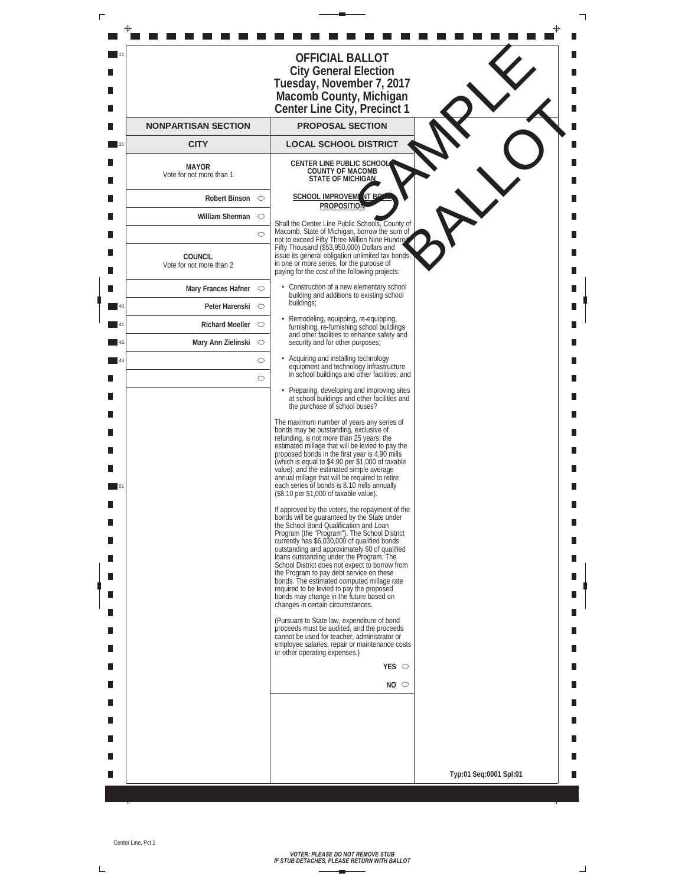| г |     |                                            |                    |                                                                                                                                                                                                                                                                                                                                                                                                                                                                                                                                                                                                                 |                        |  |
|---|-----|--------------------------------------------|--------------------|-----------------------------------------------------------------------------------------------------------------------------------------------------------------------------------------------------------------------------------------------------------------------------------------------------------------------------------------------------------------------------------------------------------------------------------------------------------------------------------------------------------------------------------------------------------------------------------------------------------------|------------------------|--|
|   |     |                                            |                    | <b>OFFICIAL BALLOT</b>                                                                                                                                                                                                                                                                                                                                                                                                                                                                                                                                                                                          |                        |  |
|   |     |                                            |                    | <b>City General Election</b><br>Tuesday, November 7, 2017<br>Macomb County, Michigan<br>Center Line City, Precinct 1                                                                                                                                                                                                                                                                                                                                                                                                                                                                                            |                        |  |
|   |     | <b>NONPARTISAN SECTION</b>                 |                    | <b>PROPOSAL SECTION</b>                                                                                                                                                                                                                                                                                                                                                                                                                                                                                                                                                                                         |                        |  |
|   | 121 | <b>CITY</b>                                |                    | <b>LOCAL SCHOOL DISTRICT</b>                                                                                                                                                                                                                                                                                                                                                                                                                                                                                                                                                                                    |                        |  |
|   |     | <b>MAYOR</b><br>Vote for not more than 1   |                    | <b>CENTER LINE PUBLIC SCHOOL</b><br><b>COUNTY OF MACOMB</b><br><b>STATE OF MICHIGAN</b>                                                                                                                                                                                                                                                                                                                                                                                                                                                                                                                         |                        |  |
|   |     | Robert Binson $\heartsuit$                 |                    | <b>SCHOOL IMPROVEM</b> NT P                                                                                                                                                                                                                                                                                                                                                                                                                                                                                                                                                                                     |                        |  |
|   |     | William Sherman $\circ$                    |                    | <b>PROPOSITION</b>                                                                                                                                                                                                                                                                                                                                                                                                                                                                                                                                                                                              |                        |  |
|   |     |                                            | $\circ$            | Shall the Center Line Public Schools, County of<br>Macomb, State of Michigan, borrow the sum of<br>not to exceed Fifty Three Million Nine Hundre                                                                                                                                                                                                                                                                                                                                                                                                                                                                |                        |  |
|   |     | <b>COUNCIL</b><br>Vote for not more than 2 |                    | Fifty Thousand (\$53,950,000) Dollars and<br>issue its general obligation unlimited tax bonds<br>in one or more series, for the purpose of<br>paying for the cost of the following projects:                                                                                                                                                                                                                                                                                                                                                                                                                    |                        |  |
|   |     | Mary Frances Hafner $\heartsuit$           |                    | • Construction of a new elementary school<br>building and additions to existing school                                                                                                                                                                                                                                                                                                                                                                                                                                                                                                                          |                        |  |
|   | 40  | Peter Harenski O                           |                    | buildings;                                                                                                                                                                                                                                                                                                                                                                                                                                                                                                                                                                                                      |                        |  |
|   | 41  | Richard Moeller $\circ$                    |                    | · Remodeling, equipping, re-equipping,<br>furnishing, re-furnishing school buildings<br>and other facilities to enhance safety and                                                                                                                                                                                                                                                                                                                                                                                                                                                                              |                        |  |
|   | 42  | Mary Ann Zielinski $\circ$                 |                    | security and for other purposes;                                                                                                                                                                                                                                                                                                                                                                                                                                                                                                                                                                                |                        |  |
|   | 43  |                                            | $\circ$<br>$\circ$ | Acquiring and installing technology<br>equipment and technology infrastructure<br>in school buildings and other facilities; and                                                                                                                                                                                                                                                                                                                                                                                                                                                                                 |                        |  |
|   |     |                                            |                    | • Preparing, developing and improving sites<br>at school buildings and other facilities and<br>the purchase of school buses?                                                                                                                                                                                                                                                                                                                                                                                                                                                                                    |                        |  |
|   |     |                                            |                    | The maximum number of years any series of<br>bonds may be outstanding, exclusive of<br>refunding, is not more than 25 years; the<br>estimated millage that will be levied to pay the<br>proposed bonds in the first year is 4.90 mills<br>(which is equal to \$4.90 per \$1,000 of taxable<br>value); and the estimated simple average<br>annual millage that will be required to retire<br>each series of bonds is 8.10 mills annually<br>(\$8.10 per \$1,000 of taxable value).                                                                                                                               |                        |  |
|   | Ш   |                                            |                    | If approved by the voters, the repayment of the<br>bonds will be guaranteed by the State under<br>the School Bond Qualification and Loan<br>Program (the "Program"). The School District<br>currently has \$6,030,000 of qualified bonds<br>outstanding and approximately \$0 of qualified<br>loans outstanding under the Program. The<br>School District does not expect to borrow from<br>the Program to pay debt service on these<br>bonds. The estimated computed millage rate<br>required to be levied to pay the proposed<br>bonds may change in the future based on<br>changes in certain circumstances. |                        |  |
|   |     |                                            |                    | (Pursuant to State law, expenditure of bond<br>proceeds must be audited, and the proceeds<br>cannot be used for teacher, administrator or<br>employee salaries, repair or maintenance costs<br>or other operating expenses.)                                                                                                                                                                                                                                                                                                                                                                                    |                        |  |
|   |     |                                            |                    | YES $\circ$                                                                                                                                                                                                                                                                                                                                                                                                                                                                                                                                                                                                     |                        |  |
|   |     |                                            |                    | $NO$ $\circ$                                                                                                                                                                                                                                                                                                                                                                                                                                                                                                                                                                                                    |                        |  |
|   |     |                                            |                    |                                                                                                                                                                                                                                                                                                                                                                                                                                                                                                                                                                                                                 |                        |  |
|   |     |                                            |                    |                                                                                                                                                                                                                                                                                                                                                                                                                                                                                                                                                                                                                 |                        |  |
|   |     |                                            |                    |                                                                                                                                                                                                                                                                                                                                                                                                                                                                                                                                                                                                                 |                        |  |
|   |     |                                            |                    |                                                                                                                                                                                                                                                                                                                                                                                                                                                                                                                                                                                                                 | Typ:01 Seq:0001 Spl:01 |  |
|   |     |                                            |                    |                                                                                                                                                                                                                                                                                                                                                                                                                                                                                                                                                                                                                 |                        |  |

 $\overline{\mathsf{L}}$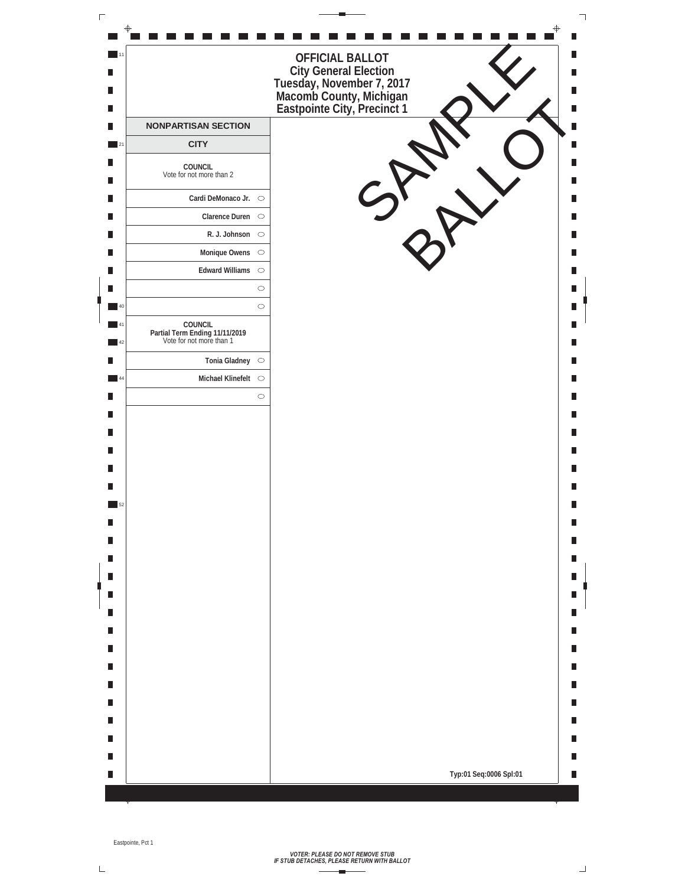| 111<br>- 1<br>OFFICIAL BALLOT<br>City General Election<br>Tuesday, November 7, 2017<br>Macomb County, Michigan<br>Eastpointe City, Precinct 1<br>п<br>П<br>Ш<br>п<br><b>NONPARTISAN SECTION</b><br>п<br>Ш<br><b>CITY</b><br>$\blacksquare$ 21<br>Ш<br>COUNCIL<br>Vote for not more than 2<br>п<br>Cardi DeMonaco Jr. $\circ$<br>П<br>Clarence Duren $\circ$<br>П<br>R. J. Johnson $\circ$<br>П<br>Ш<br>$\blacksquare$<br>Monique Owens $\circ$<br>Ш<br>Edward Williams $\circ$<br>П<br>П<br>$\circ$<br>$\circ$<br>40<br>COUNCIL<br>Partial Term Ending 11/11/2019<br>Vote for not more than 1<br>41<br>$\blacksquare$ 42<br>Tonia Gladney $\circ$<br>П<br>Michael Klinefelt $\circ$<br>44<br>П<br>$\circ$<br>Ш<br>п<br>П<br>п<br>П<br>Ш<br>Ш<br>52<br>П<br>П<br>п<br>Ш<br>П<br>П<br>п<br>П<br>$\overline{\phantom{a}}$<br>Ш<br>П<br>П<br>П<br>П<br>Ш<br>П<br>Ш<br>П<br>Ш<br>П<br>Ш<br>Typ:01 Seq:0006 Spl:01<br>П<br>Ш | $\Gamma$ |  |  | ┑ |
|------------------------------------------------------------------------------------------------------------------------------------------------------------------------------------------------------------------------------------------------------------------------------------------------------------------------------------------------------------------------------------------------------------------------------------------------------------------------------------------------------------------------------------------------------------------------------------------------------------------------------------------------------------------------------------------------------------------------------------------------------------------------------------------------------------------------------------------------------------------------------------------------------------------------|----------|--|--|---|
|                                                                                                                                                                                                                                                                                                                                                                                                                                                                                                                                                                                                                                                                                                                                                                                                                                                                                                                        |          |  |  |   |
|                                                                                                                                                                                                                                                                                                                                                                                                                                                                                                                                                                                                                                                                                                                                                                                                                                                                                                                        |          |  |  |   |
|                                                                                                                                                                                                                                                                                                                                                                                                                                                                                                                                                                                                                                                                                                                                                                                                                                                                                                                        |          |  |  |   |
|                                                                                                                                                                                                                                                                                                                                                                                                                                                                                                                                                                                                                                                                                                                                                                                                                                                                                                                        |          |  |  |   |
|                                                                                                                                                                                                                                                                                                                                                                                                                                                                                                                                                                                                                                                                                                                                                                                                                                                                                                                        |          |  |  |   |
|                                                                                                                                                                                                                                                                                                                                                                                                                                                                                                                                                                                                                                                                                                                                                                                                                                                                                                                        |          |  |  |   |
|                                                                                                                                                                                                                                                                                                                                                                                                                                                                                                                                                                                                                                                                                                                                                                                                                                                                                                                        |          |  |  |   |
|                                                                                                                                                                                                                                                                                                                                                                                                                                                                                                                                                                                                                                                                                                                                                                                                                                                                                                                        |          |  |  |   |
|                                                                                                                                                                                                                                                                                                                                                                                                                                                                                                                                                                                                                                                                                                                                                                                                                                                                                                                        |          |  |  |   |
|                                                                                                                                                                                                                                                                                                                                                                                                                                                                                                                                                                                                                                                                                                                                                                                                                                                                                                                        |          |  |  |   |
|                                                                                                                                                                                                                                                                                                                                                                                                                                                                                                                                                                                                                                                                                                                                                                                                                                                                                                                        |          |  |  |   |
|                                                                                                                                                                                                                                                                                                                                                                                                                                                                                                                                                                                                                                                                                                                                                                                                                                                                                                                        |          |  |  |   |
|                                                                                                                                                                                                                                                                                                                                                                                                                                                                                                                                                                                                                                                                                                                                                                                                                                                                                                                        |          |  |  |   |
|                                                                                                                                                                                                                                                                                                                                                                                                                                                                                                                                                                                                                                                                                                                                                                                                                                                                                                                        |          |  |  |   |
|                                                                                                                                                                                                                                                                                                                                                                                                                                                                                                                                                                                                                                                                                                                                                                                                                                                                                                                        |          |  |  |   |
|                                                                                                                                                                                                                                                                                                                                                                                                                                                                                                                                                                                                                                                                                                                                                                                                                                                                                                                        |          |  |  |   |
|                                                                                                                                                                                                                                                                                                                                                                                                                                                                                                                                                                                                                                                                                                                                                                                                                                                                                                                        |          |  |  |   |
|                                                                                                                                                                                                                                                                                                                                                                                                                                                                                                                                                                                                                                                                                                                                                                                                                                                                                                                        |          |  |  |   |

 $\bar{L}$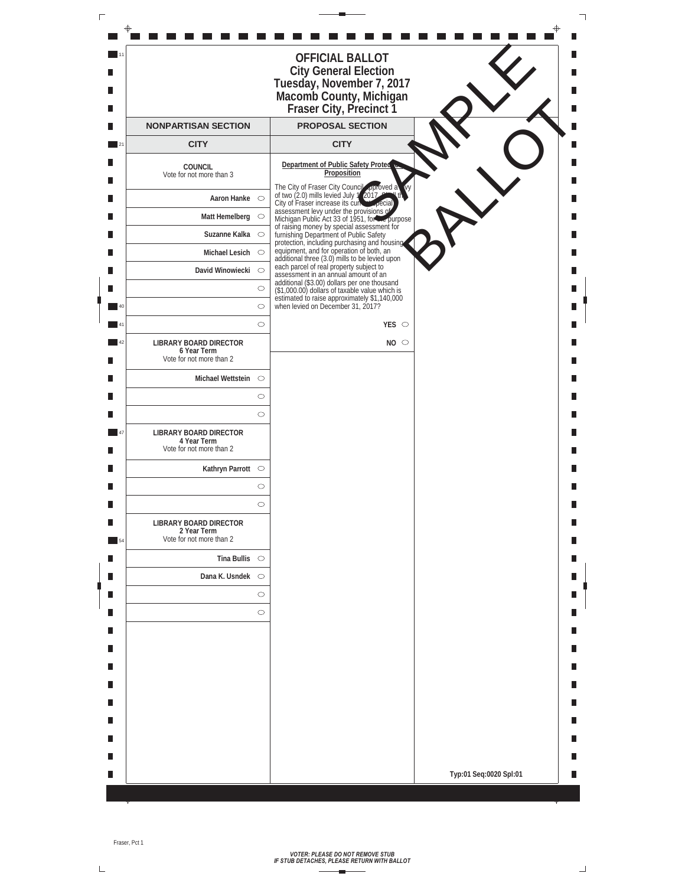|                   |                                                                          | <b>OFFICIAL BALLOT</b><br><b>City General Election</b><br>Tuesday, November 7, 2017<br>Macomb County, Michigan<br>Fraser City, Precinct 1      |                        |  |
|-------------------|--------------------------------------------------------------------------|------------------------------------------------------------------------------------------------------------------------------------------------|------------------------|--|
|                   | <b>NONPARTISAN SECTION</b>                                               | <b>PROPOSAL SECTION</b>                                                                                                                        |                        |  |
| $\frac{1}{21}$    | <b>CITY</b>                                                              | <b>CITY</b>                                                                                                                                    |                        |  |
|                   | <b>COUNCIL</b><br>Vote for not more than 3                               | Department of Public Safety Protecto<br>Proposition                                                                                            |                        |  |
|                   | Aaron Hanke $\circ$                                                      | The City of Fraser City Council approved a<br>of two (2.0) mills levied July                                                                   |                        |  |
|                   |                                                                          | City of Fraser increase its curves opecial<br>assessment levy under the provisions of<br>Michigan Public Act 33 of 1951, for the purpose       |                        |  |
|                   | Suzanne Kalka $\circ$                                                    | of raising money by special assessment for<br>furnishing Department of Public Safety                                                           |                        |  |
|                   | Michael Lesich $\circ$                                                   | protection, including purchasing and housing<br>equipment, and for operation of both, an<br>additional three (3.0) mills to be levied upon     |                        |  |
|                   | David Winowiecki $\circ$                                                 | each parcel of real property subject to<br>assessment in an annual amount of an                                                                |                        |  |
|                   | $\circ$                                                                  | additional (\$3.00) dollars per one thousand<br>(\$1,000.00) dollars of taxable value which is<br>estimated to raise approximately \$1,140,000 |                        |  |
| 40                | $\circlearrowright$                                                      | when levied on December 31, 2017?                                                                                                              |                        |  |
| 41                | $\circ$                                                                  | YES $\circ$                                                                                                                                    |                        |  |
| 42                | <b>LIBRARY BOARD DIRECTOR</b><br>6 Year Term<br>Vote for not more than 2 | NO <sub>o</sub>                                                                                                                                |                        |  |
|                   | Michael Wettstein $\circ$                                                |                                                                                                                                                |                        |  |
|                   | $\circ$                                                                  |                                                                                                                                                |                        |  |
|                   | $\circ$                                                                  |                                                                                                                                                |                        |  |
| $\blacksquare$ 47 | <b>LIBRARY BOARD DIRECTOR</b><br>4 Year Term<br>Vote for not more than 2 |                                                                                                                                                |                        |  |
|                   | Kathryn Parrott ○                                                        |                                                                                                                                                |                        |  |
|                   | $\circ$                                                                  |                                                                                                                                                |                        |  |
|                   | $\circ$                                                                  |                                                                                                                                                |                        |  |
| 54                | <b>LIBRARY BOARD DIRECTOR</b><br>2 Year Term<br>Vote for not more than 2 |                                                                                                                                                |                        |  |
|                   | Tina Bullis $\circ$                                                      |                                                                                                                                                |                        |  |
|                   | Dana K. Usndek $\circ$                                                   |                                                                                                                                                |                        |  |
|                   | $\circ$                                                                  |                                                                                                                                                |                        |  |
|                   | $\circ$                                                                  |                                                                                                                                                |                        |  |
|                   |                                                                          |                                                                                                                                                |                        |  |
|                   |                                                                          |                                                                                                                                                |                        |  |
|                   |                                                                          |                                                                                                                                                |                        |  |
|                   |                                                                          |                                                                                                                                                |                        |  |
|                   |                                                                          |                                                                                                                                                |                        |  |
|                   |                                                                          |                                                                                                                                                |                        |  |
|                   |                                                                          |                                                                                                                                                |                        |  |
|                   |                                                                          |                                                                                                                                                | Typ:01 Seq:0020 Spl:01 |  |

 $\overline{\mathsf{L}}$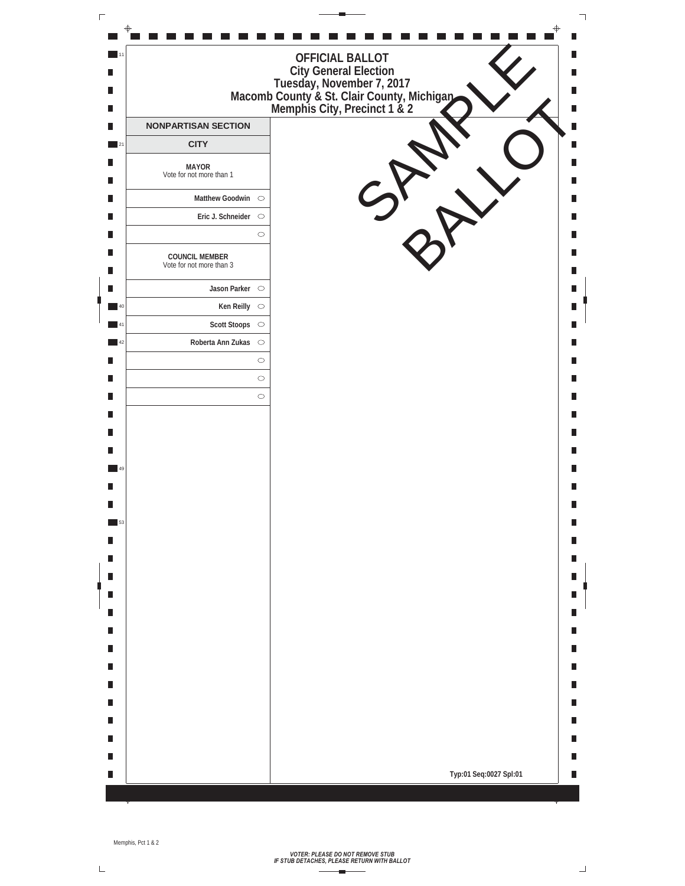

 $\Box$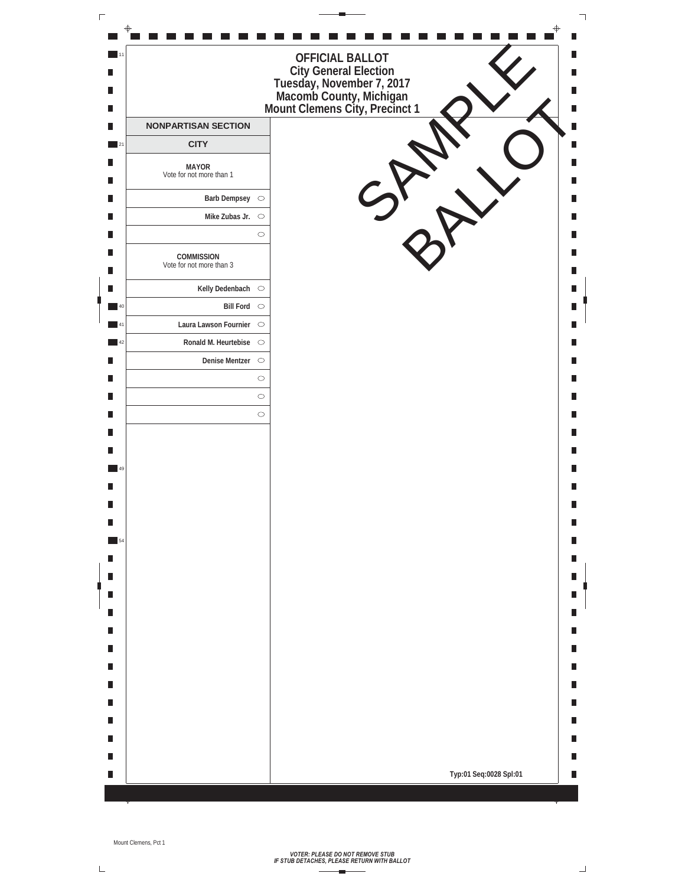

 $\Box$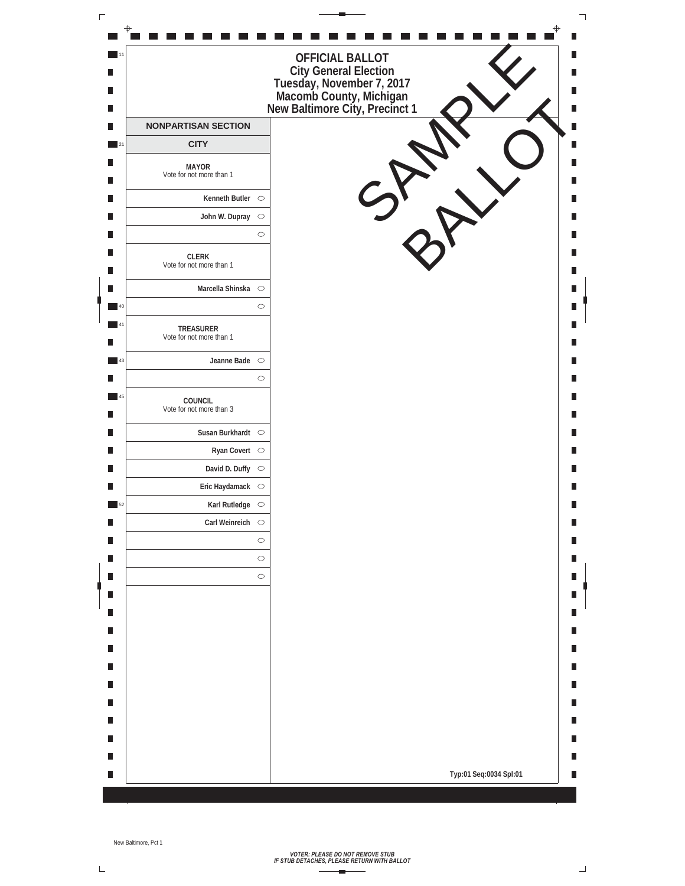| $\Gamma$                    |                                          |                                                                                                                                           | ┑                      |
|-----------------------------|------------------------------------------|-------------------------------------------------------------------------------------------------------------------------------------------|------------------------|
| $-11$<br>П<br>Ш<br>Ш        |                                          | <b>OFFICIAL BALLOT</b><br>City General Election<br>Tuesday, November 7, 2017<br>Macomb County, Michigan<br>New Baltimore City, Precinct 1 | a l<br>П               |
| П                           | <b>NONPARTISAN SECTION</b>               |                                                                                                                                           | ×                      |
| $\overline{\phantom{0}}$ 21 | <b>CITY</b>                              |                                                                                                                                           |                        |
| Ш<br>Ш                      | <b>MAYOR</b><br>Vote for not more than 1 |                                                                                                                                           |                        |
| П                           | Kenneth Butler $\circ$                   |                                                                                                                                           |                        |
| П                           | John W. Dupray $\circ$                   |                                                                                                                                           |                        |
| Ш                           |                                          | $\circ$                                                                                                                                   |                        |
| П<br>П                      | CLERK<br>Vote for not more than 1        |                                                                                                                                           | <b>Service Service</b> |
| П                           | Marcella Shinska O                       |                                                                                                                                           |                        |
| 40                          |                                          | $\circ$                                                                                                                                   |                        |
| $-41$<br>П                  | TREASURER<br>Vote for not more than 1    |                                                                                                                                           |                        |
| 43                          | Jeanne Bade $\circ$                      |                                                                                                                                           |                        |
| П                           |                                          | $\circ$                                                                                                                                   |                        |
| $\blacksquare$ 45<br>Ш      | COUNCIL<br>Vote for not more than 3      |                                                                                                                                           | - 1                    |
| Ш                           | Susan Burkhardt $\circ$                  |                                                                                                                                           |                        |
| П                           | Ryan Covert $\heartsuit$                 |                                                                                                                                           | Ш                      |
| П                           | David D. Duffy $\circ$                   |                                                                                                                                           |                        |
| Ш                           | Eric Haydamack $\circ$                   |                                                                                                                                           |                        |
| 52                          | Karl Rutledge $\circ$                    |                                                                                                                                           |                        |
| П<br>П                      | Carl Weinreich $\circ$                   | $\circ$                                                                                                                                   | Ш                      |
| П                           |                                          | $\circ$                                                                                                                                   |                        |
| Ш                           |                                          | $\circ$                                                                                                                                   |                        |
| П                           |                                          |                                                                                                                                           |                        |
|                             |                                          |                                                                                                                                           |                        |
| п                           |                                          |                                                                                                                                           |                        |
| П                           |                                          |                                                                                                                                           | Н                      |
| Ш                           |                                          |                                                                                                                                           |                        |
| Ш                           |                                          |                                                                                                                                           | п                      |
| Ш                           |                                          |                                                                                                                                           |                        |
| Ш<br>Ш                      |                                          |                                                                                                                                           | Н<br>H                 |
| П                           |                                          |                                                                                                                                           |                        |
| Ш                           |                                          | Typ:01 Seq:0034 Spl:01                                                                                                                    | Ш                      |
|                             |                                          |                                                                                                                                           |                        |

 $\overline{\mathsf{L}}$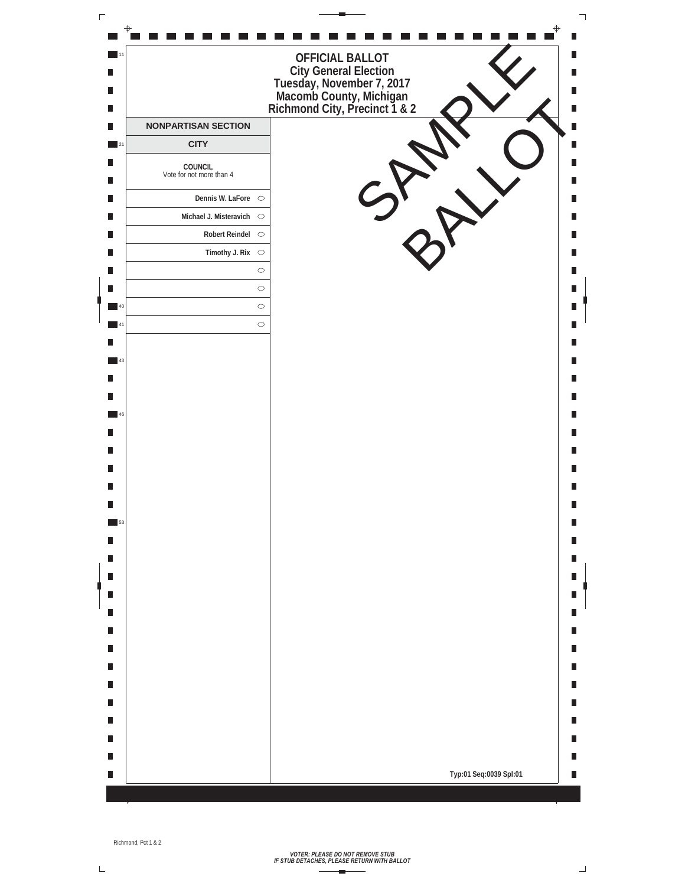

 $\sqcup$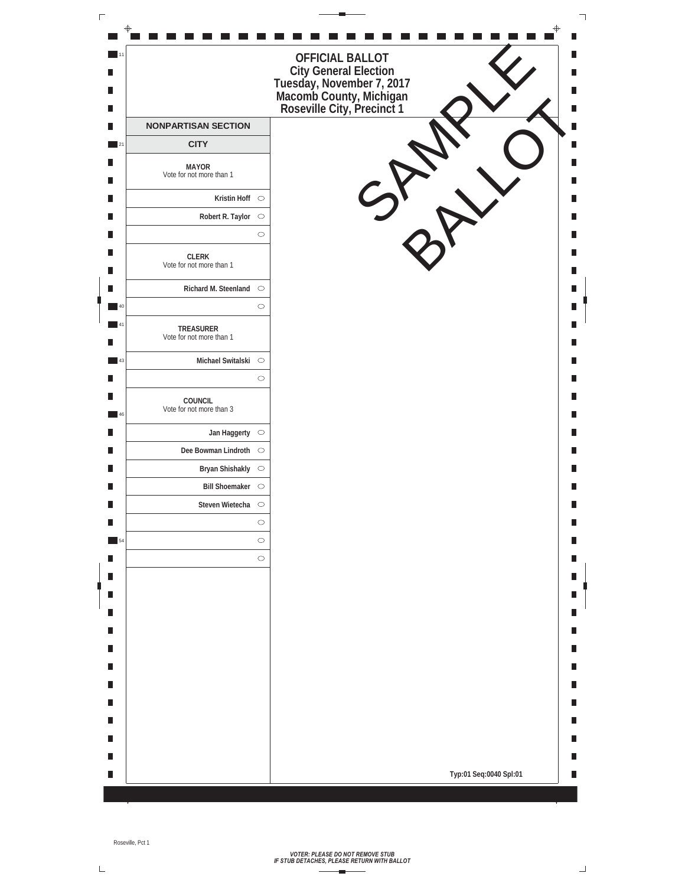| $\Gamma$                    |                                          |                                                                                                                  |
|-----------------------------|------------------------------------------|------------------------------------------------------------------------------------------------------------------|
|                             |                                          | OFFICIAL BALLOT                                                                                                  |
| Ш<br>П<br>П                 |                                          | City General Election<br>Tuesday, November 7, 2017<br>Macomb County, Michigan<br>Roseville City, Precinct 1<br>П |
| Ш                           | <b>NONPARTISAN SECTION</b>               |                                                                                                                  |
| $\overline{\phantom{0}}$ 21 | <b>CITY</b>                              |                                                                                                                  |
| п<br>П                      | <b>MAYOR</b><br>Vote for not more than 1 |                                                                                                                  |
| П                           | Kristin Hoff $\circ$                     |                                                                                                                  |
| П                           | Robert R. Taylor ○                       |                                                                                                                  |
| П                           | $\circ$                                  |                                                                                                                  |
| П<br>П                      | CLERK<br>Vote for not more than 1        | I.                                                                                                               |
| П                           | Richard M. Steenland $\bigcirc$          |                                                                                                                  |
| 40                          | $\circlearrowright$                      |                                                                                                                  |
| $-41$<br>П                  | TREASURER<br>Vote for not more than 1    |                                                                                                                  |
| 43                          | Michael Switalski O                      |                                                                                                                  |
| П                           | $\circ$                                  |                                                                                                                  |
| Ш<br>46                     | COUNCIL<br>Vote for not more than 3      | Ш                                                                                                                |
| П                           | Jan Haggerty $\circ$                     |                                                                                                                  |
| П                           | Dee Bowman Lindroth O                    | Ш                                                                                                                |
| П                           | Bryan Shishakly O                        |                                                                                                                  |
| П                           | Bill Shoemaker O                         |                                                                                                                  |
| П                           | Steven Wietecha $\circ$                  |                                                                                                                  |
| П                           | $\circlearrowright$                      |                                                                                                                  |
| 54                          | $\circ$                                  |                                                                                                                  |
| П                           | $\circ$                                  |                                                                                                                  |
| П                           |                                          |                                                                                                                  |
| П                           |                                          |                                                                                                                  |
| П                           |                                          |                                                                                                                  |
| П                           |                                          |                                                                                                                  |
| П<br>П                      |                                          | П                                                                                                                |
| П                           |                                          |                                                                                                                  |
| П                           |                                          | Ш                                                                                                                |
| П                           |                                          | Ш                                                                                                                |
| П                           |                                          |                                                                                                                  |
| П                           |                                          |                                                                                                                  |
| П                           |                                          | Typ:01 Seq:0040 Spl:01<br>Ш                                                                                      |
|                             |                                          |                                                                                                                  |

 $\overline{\mathsf{L}}$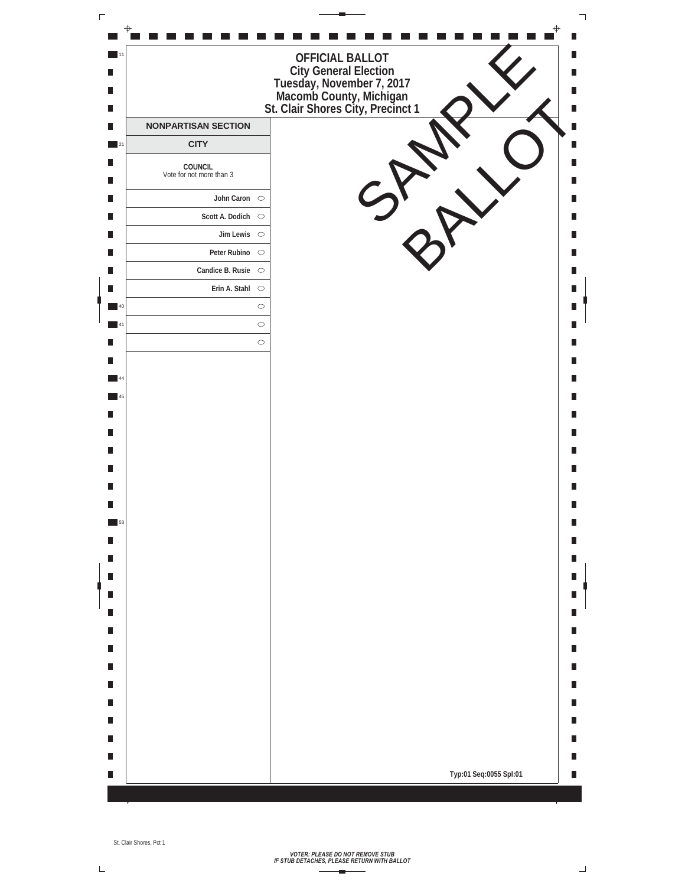| $\Gamma$ |                                     |                                           |                                                                                                                                                 | ┑ |
|----------|-------------------------------------|-------------------------------------------|-------------------------------------------------------------------------------------------------------------------------------------------------|---|
|          | $\blacksquare$ 11<br>П<br>П<br>П    |                                           | п<br>OFFICIAL BALLOT<br>City General Election<br>Tuesday, November 7, 2017<br>Macomb County, Michigan<br>St. Clair Shores City, Precinct 1<br>Ш |   |
|          | $\blacksquare$<br>$\blacksquare$ 21 | <b>NONPARTISAN SECTION</b><br><b>CITY</b> | Ш                                                                                                                                               |   |
|          | П<br>П                              | COUNCIL<br>Vote for not more than 3       | П                                                                                                                                               |   |
|          | $\blacksquare$                      | John Caron $\circ$                        |                                                                                                                                                 |   |
|          | П                                   | Scott A. Dodich $\circ$                   |                                                                                                                                                 |   |
|          | $\blacksquare$                      | Jim Lewis $\circ$                         | П                                                                                                                                               |   |
|          | П                                   | Peter Rubino $\circ$                      | П                                                                                                                                               |   |
|          | П                                   | Candice B. Rusie $\circ$                  |                                                                                                                                                 |   |
|          | П                                   | Erin A. Stahl $\circ$                     |                                                                                                                                                 |   |
|          | $\blacksquare$ 40                   |                                           | $\circ$                                                                                                                                         |   |
|          | $\blacksquare$ 41<br>$\blacksquare$ |                                           | $\circ$<br>$\circ$                                                                                                                              |   |
|          | П                                   |                                           |                                                                                                                                                 |   |
|          | $\blacksquare$ 44                   |                                           |                                                                                                                                                 |   |
|          | $\blacksquare$ 45                   |                                           | Ш                                                                                                                                               |   |
|          | П                                   |                                           |                                                                                                                                                 |   |
|          | П                                   |                                           |                                                                                                                                                 |   |
|          | П                                   |                                           | П                                                                                                                                               |   |
|          | П                                   |                                           |                                                                                                                                                 |   |
|          | П                                   |                                           |                                                                                                                                                 |   |
|          | П                                   |                                           |                                                                                                                                                 |   |
|          | $\blacksquare$ 53<br>П              |                                           |                                                                                                                                                 |   |
|          | П                                   |                                           | Ш                                                                                                                                               |   |
|          | п                                   |                                           |                                                                                                                                                 |   |
|          | $\blacksquare$                      |                                           |                                                                                                                                                 |   |
|          | П                                   |                                           |                                                                                                                                                 |   |
|          | $\blacksquare$                      |                                           | Ш                                                                                                                                               |   |
|          | П                                   |                                           | Ш                                                                                                                                               |   |
|          | $\blacksquare$                      |                                           |                                                                                                                                                 |   |
|          | П                                   |                                           | Ш                                                                                                                                               |   |
|          | П                                   |                                           | Ш                                                                                                                                               |   |
|          | $\blacksquare$                      |                                           | Ш                                                                                                                                               |   |
|          | П<br>П                              |                                           | Ш<br>H                                                                                                                                          |   |
|          | П                                   |                                           | Typ:01 Seq:0055 Spl:01<br>Ш                                                                                                                     |   |
|          |                                     |                                           |                                                                                                                                                 |   |

 $\overline{\mathsf{L}}$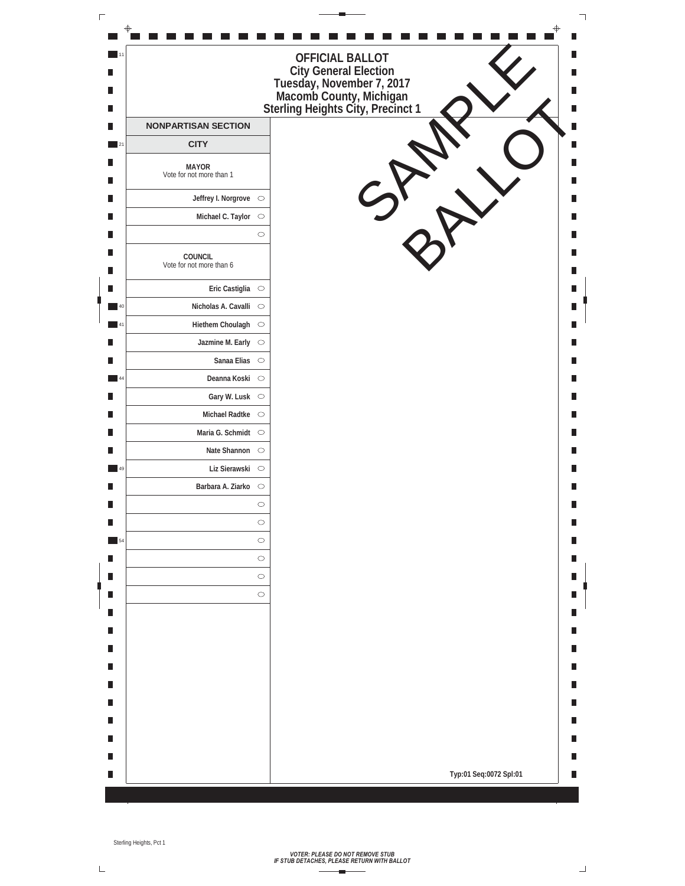| $\Gamma$ |                             |                                          |                                                                                                                                                   | ┑ |
|----------|-----------------------------|------------------------------------------|---------------------------------------------------------------------------------------------------------------------------------------------------|---|
|          | $-11$<br>П<br>Ш<br>Ш        |                                          | <b>OFFICIAL BALLOT</b><br>City General Election<br>Tuesday, November 7, 2017<br>Macomb County, Michigan<br>Sterling Heights City, Precinct 1<br>Ш |   |
|          | П                           | <b>NONPARTISAN SECTION</b>               |                                                                                                                                                   |   |
|          | $\overline{\phantom{0}}$ 21 | <b>CITY</b>                              |                                                                                                                                                   |   |
|          | Ш<br>Ш                      | <b>MAYOR</b><br>Vote for not more than 1 |                                                                                                                                                   |   |
|          | П                           | Jeffrey I. Norgrove $\circ$              |                                                                                                                                                   |   |
|          | П                           | Michael C. Taylor $\circ$                |                                                                                                                                                   |   |
|          | Ш                           |                                          | $\circ$                                                                                                                                           |   |
|          | П<br>П                      | COUNCIL<br>Vote for not more than 6      |                                                                                                                                                   |   |
|          | П                           | Eric Castiglia $\circ$                   |                                                                                                                                                   |   |
|          | 40                          | Nicholas A. Cavalli ○                    |                                                                                                                                                   |   |
|          | $-41$                       | Hiethem Choulagh O                       |                                                                                                                                                   |   |
|          | П                           | Jazmine M. Early $\circ$                 |                                                                                                                                                   |   |
|          | П                           | Sanaa Elias $\circ$                      |                                                                                                                                                   |   |
|          | 44                          | Deanna Koski ○                           |                                                                                                                                                   |   |
|          | П                           | Gary W. Lusk $\circ$                     |                                                                                                                                                   |   |
|          | Ш                           | Michael Radtke O                         |                                                                                                                                                   |   |
|          | Ш                           | Maria G. Schmidt $\circ$                 |                                                                                                                                                   |   |
|          | П                           |                                          | Ш                                                                                                                                                 |   |
|          | 49                          | Liz Sierawski O                          |                                                                                                                                                   |   |
|          | Ш                           | Barbara A. Ziarko O                      |                                                                                                                                                   |   |
|          | Ш                           |                                          | $\bigcirc$                                                                                                                                        |   |
|          | П                           |                                          | $\circlearrowright$                                                                                                                               |   |
|          | $\overline{\phantom{0}}$ 54 |                                          | $\circ$                                                                                                                                           |   |
|          | Ш                           |                                          | $\circ$                                                                                                                                           |   |
|          | Ш                           |                                          | $\bigcirc$                                                                                                                                        |   |
|          | П                           |                                          | $\bigcirc$                                                                                                                                        |   |
|          |                             |                                          |                                                                                                                                                   |   |
|          | п<br>П                      |                                          |                                                                                                                                                   |   |
|          | П                           |                                          | Ш                                                                                                                                                 |   |
|          | Ш                           |                                          |                                                                                                                                                   |   |
|          | П                           |                                          |                                                                                                                                                   |   |
|          | П                           |                                          |                                                                                                                                                   |   |
|          | П                           |                                          |                                                                                                                                                   |   |
|          | Ш                           |                                          |                                                                                                                                                   |   |
|          | Ш                           |                                          | Typ:01 Seq:0072 Spl:01<br>П                                                                                                                       |   |
|          |                             |                                          |                                                                                                                                                   |   |

 $\bar{L}$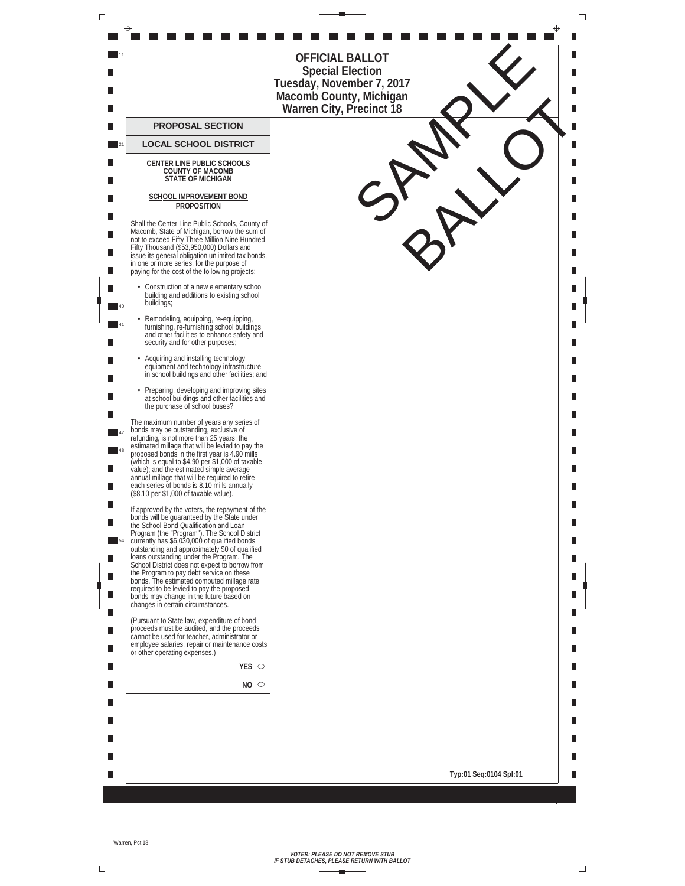| Г |                   |                                                                                                                                                                                                                                                                                                                                                                                                                                                                                                                                                                                                                 |                                                                                                                                |  |
|---|-------------------|-----------------------------------------------------------------------------------------------------------------------------------------------------------------------------------------------------------------------------------------------------------------------------------------------------------------------------------------------------------------------------------------------------------------------------------------------------------------------------------------------------------------------------------------------------------------------------------------------------------------|--------------------------------------------------------------------------------------------------------------------------------|--|
|   |                   |                                                                                                                                                                                                                                                                                                                                                                                                                                                                                                                                                                                                                 | OFFICIAL BALLOT<br><b>Special Election</b><br>Tuesday, November 7, 2017<br>Macomb County, Michigan<br>Warren City, Precinct 18 |  |
|   |                   | <b>PROPOSAL SECTION</b>                                                                                                                                                                                                                                                                                                                                                                                                                                                                                                                                                                                         |                                                                                                                                |  |
|   | $\blacksquare$ 21 | <b>LOCAL SCHOOL DISTRICT</b>                                                                                                                                                                                                                                                                                                                                                                                                                                                                                                                                                                                    |                                                                                                                                |  |
|   |                   | <b>CENTER LINE PUBLIC SCHOOLS</b><br><b>COUNTY OF MACOMB</b><br><b>STATE OF MICHIGAN</b>                                                                                                                                                                                                                                                                                                                                                                                                                                                                                                                        |                                                                                                                                |  |
|   |                   | SCHOOL IMPROVEMENT BOND<br>PROPOSITION                                                                                                                                                                                                                                                                                                                                                                                                                                                                                                                                                                          |                                                                                                                                |  |
|   |                   | Shall the Center Line Public Schools, County of<br>Macomb, State of Michigan, borrow the sum of<br>not to exceed Fifty Three Million Nine Hundred<br>Fifty Thousand (\$53,950,000) Dollars and<br>issue its general obligation unlimited tax bonds,<br>in one or more series, for the purpose of<br>paying for the cost of the following projects:                                                                                                                                                                                                                                                              |                                                                                                                                |  |
|   | 40                | • Construction of a new elementary school<br>building and additions to existing school<br>buildings;                                                                                                                                                                                                                                                                                                                                                                                                                                                                                                            |                                                                                                                                |  |
|   |                   | Remodeling, equipping, re-equipping,<br>furnishing, re-furnishing school buildings<br>and other facilities to enhance safety and<br>security and for other purposes;                                                                                                                                                                                                                                                                                                                                                                                                                                            |                                                                                                                                |  |
|   |                   | Acquiring and installing technology<br>equipment and technology infrastructure<br>in school buildings and other facilities; and                                                                                                                                                                                                                                                                                                                                                                                                                                                                                 |                                                                                                                                |  |
|   |                   | • Preparing, developing and improving sites<br>at school buildings and other facilities and<br>the purchase of school buses?                                                                                                                                                                                                                                                                                                                                                                                                                                                                                    |                                                                                                                                |  |
|   | 48                | The maximum number of years any series of<br>bonds may be outstanding, exclusive of<br>refunding, is not more than 25 years; the<br>estimated millage that will be levied to pay the<br>proposed bonds in the first year is 4.90 mills<br>(which is equal to \$4.90 per \$1,000 of taxable<br>value); and the estimated simple average<br>annual millage that will be required to retire<br>each series of bonds is 8.10 mills annually<br>(\$8.10 per \$1,000 of taxable value).                                                                                                                               |                                                                                                                                |  |
|   | 54<br>Ш<br>П      | If approved by the voters, the repayment of the<br>bonds will be guaranteed by the State under<br>the School Bond Qualification and Loan<br>Program (the "Program"). The School District<br>currently has \$6,030,000 of qualified bonds<br>outstanding and approximately \$0 of qualified<br>loans outstanding under the Program. The<br>School District does not expect to borrow from<br>the Program to pay debt service on these<br>bonds. The estimated computed millage rate<br>required to be levied to pay the proposed<br>bonds may change in the future based on<br>changes in certain circumstances. |                                                                                                                                |  |
|   |                   | (Pursuant to State law, expenditure of bond<br>proceeds must be audited, and the proceeds<br>cannot be used for teacher, administrator or<br>employee salaries, repair or maintenance costs<br>or other operating expenses.)                                                                                                                                                                                                                                                                                                                                                                                    |                                                                                                                                |  |
|   |                   | YES $\circ$                                                                                                                                                                                                                                                                                                                                                                                                                                                                                                                                                                                                     |                                                                                                                                |  |
|   |                   | NO <sub>o</sub>                                                                                                                                                                                                                                                                                                                                                                                                                                                                                                                                                                                                 |                                                                                                                                |  |
|   |                   |                                                                                                                                                                                                                                                                                                                                                                                                                                                                                                                                                                                                                 |                                                                                                                                |  |
|   |                   |                                                                                                                                                                                                                                                                                                                                                                                                                                                                                                                                                                                                                 |                                                                                                                                |  |
|   |                   |                                                                                                                                                                                                                                                                                                                                                                                                                                                                                                                                                                                                                 |                                                                                                                                |  |
|   |                   |                                                                                                                                                                                                                                                                                                                                                                                                                                                                                                                                                                                                                 | Typ:01 Seq:0104 Spl:01                                                                                                         |  |
|   |                   |                                                                                                                                                                                                                                                                                                                                                                                                                                                                                                                                                                                                                 |                                                                                                                                |  |

 $\mathrel{\sqsubseteq}$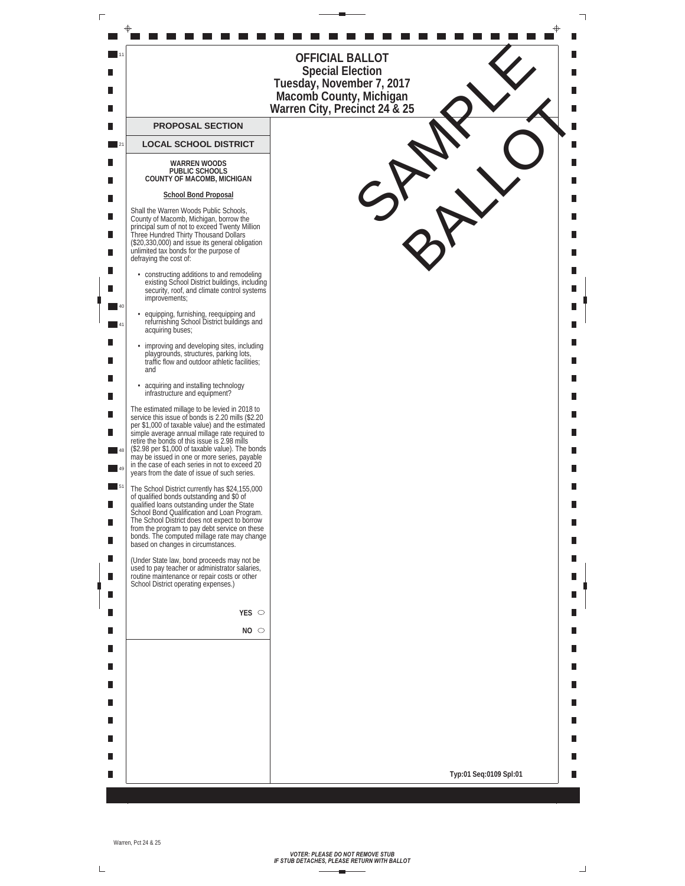

*VOTER: PLEASE DO NOT REMOVE STUB IF STUB DETACHES, PLEASE RETURN WITH BALLOT*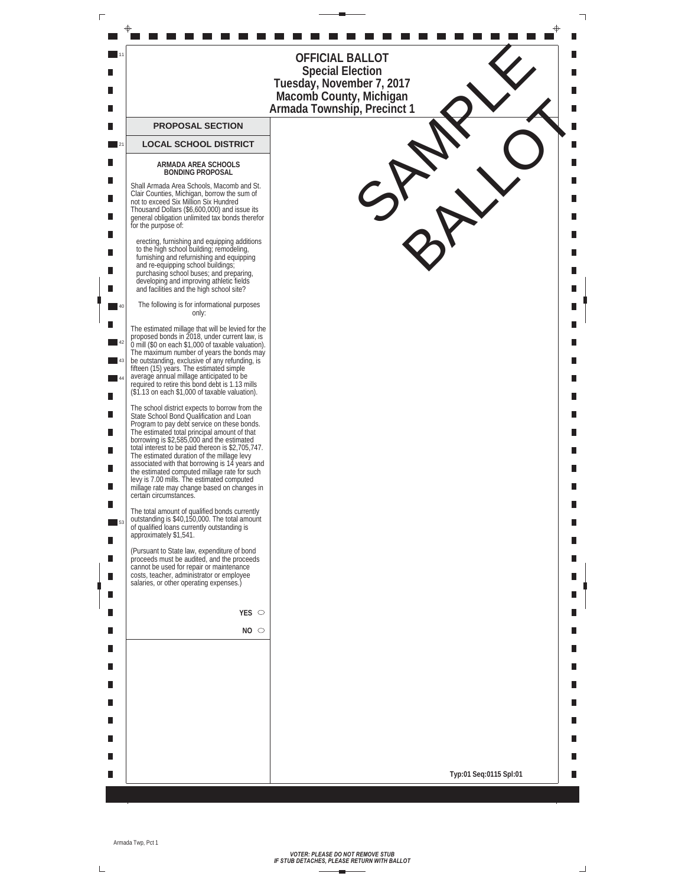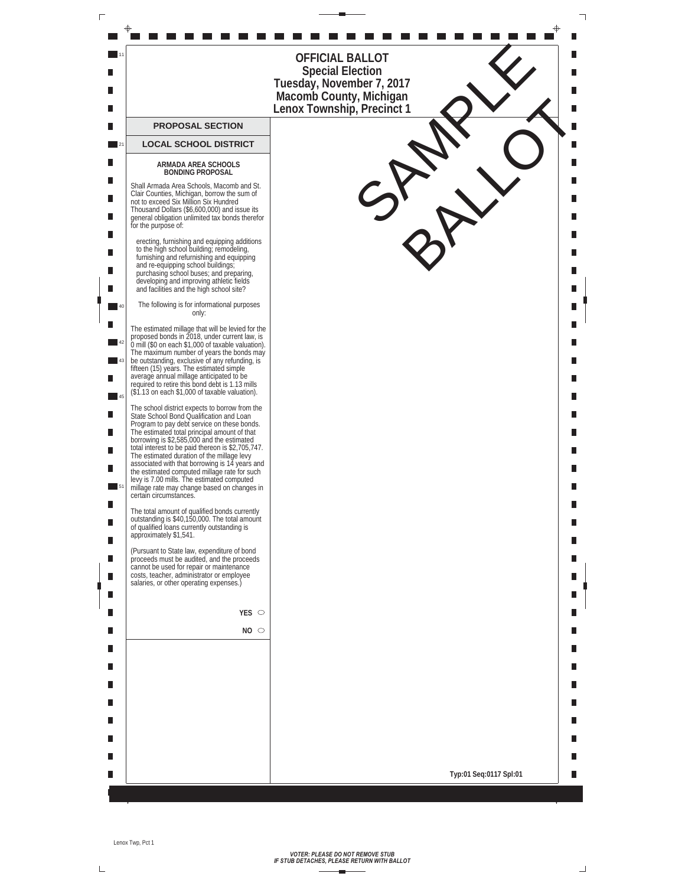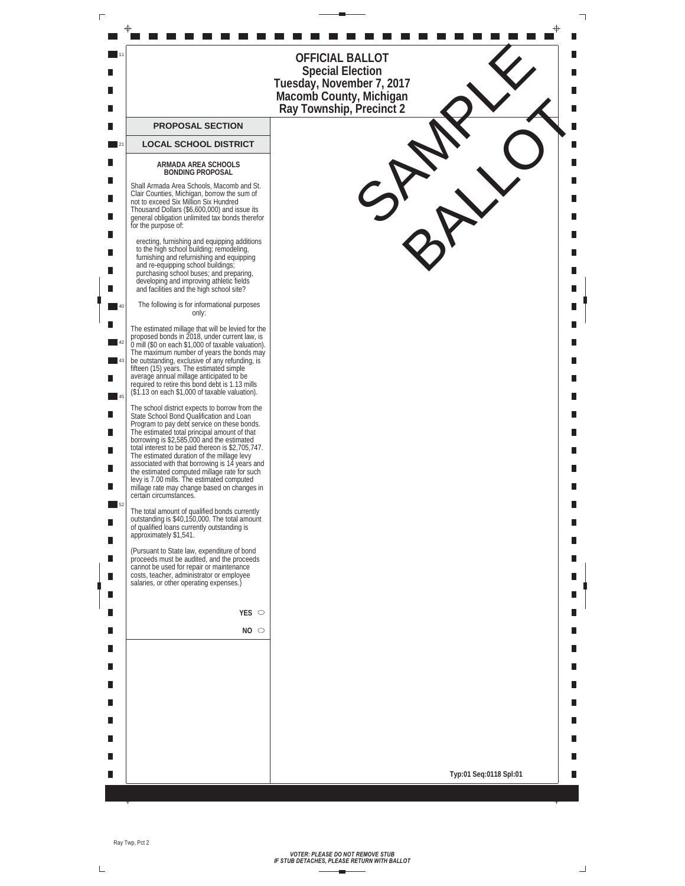